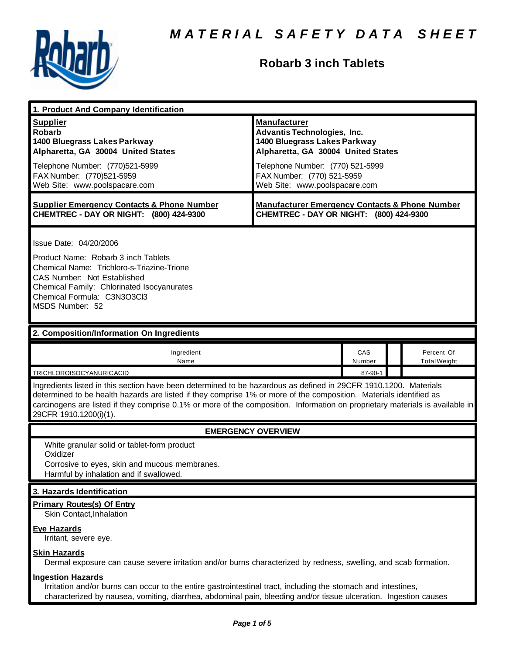

# **Robarb 3 inch Tablets**

| 1. Product And Company Identification                                                                                                                                                                                                                                                                                                                                                             |                                                                                                                                                                                                                                    |               |  |                                   |  |
|---------------------------------------------------------------------------------------------------------------------------------------------------------------------------------------------------------------------------------------------------------------------------------------------------------------------------------------------------------------------------------------------------|------------------------------------------------------------------------------------------------------------------------------------------------------------------------------------------------------------------------------------|---------------|--|-----------------------------------|--|
| <b>Supplier</b><br><b>Robarb</b><br>1400 Bluegrass Lakes Parkway<br>Alpharetta, GA 30004 United States<br>Telephone Number: (770)521-5999<br>FAX Number: (770)521-5959<br>Web Site: www.poolspacare.com                                                                                                                                                                                           | <b>Manufacturer</b><br><b>Advantis Technologies, Inc.</b><br>1400 Bluegrass Lakes Parkway<br>Alpharetta, GA 30004 United States<br>Telephone Number: (770) 521-5999<br>FAX Number: (770) 521-5959<br>Web Site: www.poolspacare.com |               |  |                                   |  |
| <b>Supplier Emergency Contacts &amp; Phone Number</b><br>CHEMTREC - DAY OR NIGHT: (800) 424-9300                                                                                                                                                                                                                                                                                                  | <b>Manufacturer Emergency Contacts &amp; Phone Number</b><br>CHEMTREC - DAY OR NIGHT: (800) 424-9300                                                                                                                               |               |  |                                   |  |
| Issue Date: 04/20/2006<br>Product Name: Robarb 3 inch Tablets<br>Chemical Name: Trichloro-s-Triazine-Trione<br><b>CAS Number: Not Established</b><br>Chemical Family: Chlorinated Isocyanurates<br>Chemical Formula: C3N3O3Cl3<br>MSDS Number: 52                                                                                                                                                 |                                                                                                                                                                                                                                    |               |  |                                   |  |
| 2. Composition/Information On Ingredients                                                                                                                                                                                                                                                                                                                                                         |                                                                                                                                                                                                                                    |               |  |                                   |  |
| Ingredient<br>Name                                                                                                                                                                                                                                                                                                                                                                                |                                                                                                                                                                                                                                    | CAS<br>Number |  | Percent Of<br><b>Total Weight</b> |  |
| TRICHLOROISOCYANURICACID                                                                                                                                                                                                                                                                                                                                                                          |                                                                                                                                                                                                                                    | 87-90-1       |  |                                   |  |
| Ingredients listed in this section have been determined to be hazardous as defined in 29CFR 1910.1200. Materials<br>determined to be health hazards are listed if they comprise 1% or more of the composition. Materials identified as<br>carcinogens are listed if they comprise 0.1% or more of the composition. Information on proprietary materials is available in<br>29CFR 1910.1200(i)(1). |                                                                                                                                                                                                                                    |               |  |                                   |  |
| <b>EMERGENCY OVERVIEW</b>                                                                                                                                                                                                                                                                                                                                                                         |                                                                                                                                                                                                                                    |               |  |                                   |  |
| White granular solid or tablet-form product<br>Oxidizer<br>Corrosive to eyes, skin and mucous membranes.<br>Harmful by inhalation and if swallowed.                                                                                                                                                                                                                                               |                                                                                                                                                                                                                                    |               |  |                                   |  |
| 3. Hazards Identification                                                                                                                                                                                                                                                                                                                                                                         |                                                                                                                                                                                                                                    |               |  |                                   |  |
| <b>Primary Routes(s) Of Entry</b><br>Skin Contact, Inhalation<br><b>Eye Hazards</b>                                                                                                                                                                                                                                                                                                               |                                                                                                                                                                                                                                    |               |  |                                   |  |
| Irritant, severe eye.                                                                                                                                                                                                                                                                                                                                                                             |                                                                                                                                                                                                                                    |               |  |                                   |  |
| <b>Skin Hazards</b><br>Dermal exposure can cause severe irritation and/or burns characterized by redness, swelling, and scab formation.                                                                                                                                                                                                                                                           |                                                                                                                                                                                                                                    |               |  |                                   |  |
| <b>Ingestion Hazards</b><br>Irritation and/or burns can occur to the entire gastrointestinal tract, including the stomach and intestines,<br>characterized by nausea, vomiting, diarrhea, abdominal pain, bleeding and/or tissue ulceration. Ingestion causes                                                                                                                                     |                                                                                                                                                                                                                                    |               |  |                                   |  |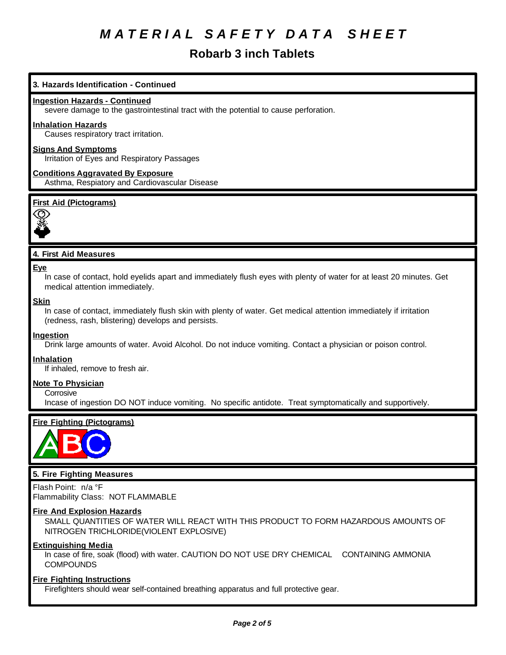## **Robarb 3 inch Tablets**

#### **3. Hazards Identification - Continued**

#### **Ingestion Hazards - Continued**

severe damage to the gastrointestinal tract with the potential to cause perforation.

#### **Inhalation Hazards**

Causes respiratory tract irritation.

#### **Signs And Symptoms**

Irritation of Eyes and Respiratory Passages

#### **Conditions Aggravated By Exposure** Asthma, Respiatory and Cardiovascular Disease

#### **First Aid (Pictograms)**



#### **4. First Aid Measures**

#### **Eye**

In case of contact, hold eyelids apart and immediately flush eyes with plenty of water for at least 20 minutes. Get medical attention immediately.

#### **Skin**

In case of contact, immediately flush skin with plenty of water. Get medical attention immediately if irritation (redness, rash, blistering) develops and persists.

#### **Ingestion**

Drink large amounts of water. Avoid Alcohol. Do not induce vomiting. Contact a physician or poison control.

#### **Inhalation**

If inhaled, remove to fresh air.

#### **Note To Physician**

**Corrosive** 

Incase of ingestion DO NOT induce vomiting. No specific antidote. Treat symptomatically and supportively.

#### **Fire Fighting (Pictograms)**



#### **5. Fire Fighting Measures**

Flash Point: n/a °F Flammability Class: NOT FLAMMABLE

#### **Fire And Explosion Hazards**

SMALL QUANTITIES OF WATER WILL REACT WITH THIS PRODUCT TO FORM HAZARDOUS AMOUNTS OF NITROGEN TRICHLORIDE(VIOLENT EXPLOSIVE)

#### **Extinguishing Media**

In case of fire, soak (flood) with water. CAUTION DO NOT USE DRY CHEMICAL CONTAINING AMMONIA **COMPOUNDS** 

#### **Fire Fighting Instructions**

Firefighters should wear self-contained breathing apparatus and full protective gear.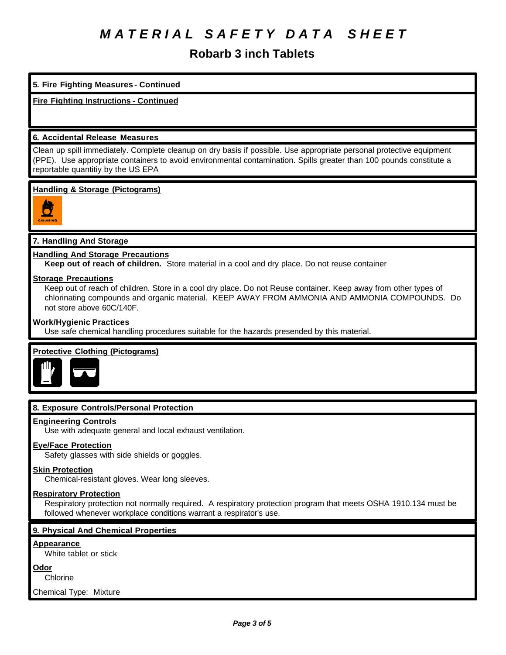## **Robarb 3 inch Tablets**

### **5. Fire Fighting Measures - Continued**

### **Fire Fighting Instructions - Continued**

#### **6. Accidental Release Measures**

Clean up spill immediately. Complete cleanup on dry basis if possible. Use appropriate personal protective equipment (PPE). Use appropriate containers to avoid environmental contamination. Spills greater than 100 pounds constitute a reportable quantitiy by the US EPA

#### **Handling & Storage (Pictograms)**



#### **7. Handling And Storage**

#### **Handling And Storage Precautions**

**Keep out of reach of children.** Store material in a cool and dry place. Do not reuse container

#### **Storage Precautions**

Keep out of reach of children. Store in a cool dry place. Do not Reuse container. Keep away from other types of chlorinating compounds and organic material. KEEP AWAY FROM AMMONIA AND AMMONIA COMPOUNDS. Do not store above 60C/140F.

#### **Work/Hygienic Practices**

Use safe chemical handling procedures suitable for the hazards presended by this material.

#### **Protective Clothing (Pictograms)**



#### **8. Exposure Controls/Personal Protection**

#### **Engineering Controls**

Use with adequate general and local exhaust ventilation.

#### **Eye/Face Protection**

Safety glasses with side shields or goggles.

#### **Skin Protection**

Chemical-resistant gloves. Wear long sleeves.

#### **Respiratory Protection**

Respiratory protection not normally required. A respiratory protection program that meets OSHA 1910.134 must be followed whenever workplace conditions warrant a respirator's use.

#### **9. Physical And Chemical Properties**

#### **Appearance**

White tablet or stick

#### **Odor**

**Chlorine** 

Chemical Type: Mixture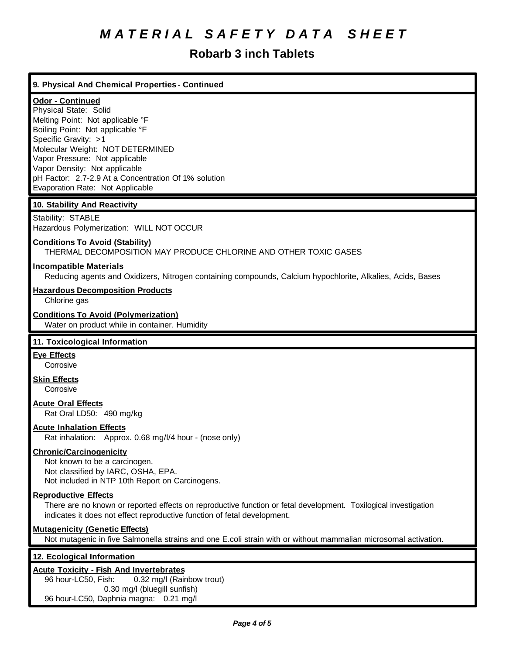## **Robarb 3 inch Tablets**

### **9. Physical And Chemical Properties - Continued**

### **Odor - Continued**

Physical State: Solid Melting Point: Not applicable °F Boiling Point: Not applicable °F Specific Gravity: >1 Molecular Weight: NOT DETERMINED Vapor Pressure: Not applicable Vapor Density: Not applicable pH Factor: 2.7-2.9 At a Concentration Of 1% solution Evaporation Rate: Not Applicable

#### **10. Stability And Reactivity**

Stability: STABLE Hazardous Polymerization: WILL NOT OCCUR

#### **Conditions To Avoid (Stability)**

THERMAL DECOMPOSITION MAY PRODUCE CHLORINE AND OTHER TOXIC GASES

#### **Incompatible Materials**

Reducing agents and Oxidizers, Nitrogen containing compounds, Calcium hypochlorite, Alkalies, Acids, Bases

#### **Hazardous Decomposition Products**

Chlorine gas

#### **Conditions To Avoid (Polymerization)**

Water on product while in container. Humidity

#### **11. Toxicological Information**

## **Eye Effects**

**Corrosive** 

**Skin Effects**

**Corrosive** 

#### **Acute Oral Effects**

Rat Oral LD50: 490 mg/kg

#### **Acute Inhalation Effects**

Rat inhalation: Approx. 0.68 mg/l/4 hour - (nose only)

#### **Chronic/Carcinogenicity**

Not known to be a carcinogen. Not classified by IARC, OSHA, EPA. Not included in NTP 10th Report on Carcinogens.

#### **Reproductive Effects**

There are no known or reported effects on reproductive function or fetal development. Toxilogical investigation indicates it does not effect reproductive function of fetal development.

#### **Mutagenicity (Genetic Effects)**

Not mutagenic in five Salmonella strains and one E.coli strain with or without mammalian microsomal activation.

#### **12. Ecological Information**

#### **Acute Toxicity - Fish And Invertebrates**

96 hour-LC50, Fish: 0.32 mg/l (Rainbow trout) 0.30 mg/l (bluegill sunfish) 96 hour-LC50, Daphnia magna: 0.21 mg/l